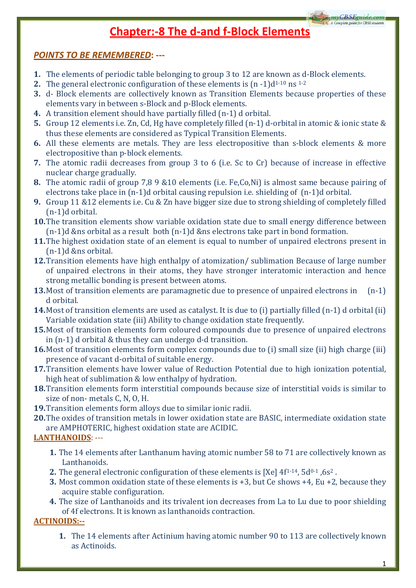#### myCBSEguide.com  $60r$   $CR$   $SR$   $e$

# **Chapter:‐8 The d‐and f‐Block Elements**

# *POINTS TO BE REMEMBERED***: ‐‐‐**

- **1.** The elements of periodic table belonging to group 3 to 12 are known as d-Block elements.
- 2. The general electronic configuration of these elements is  $(n 1)d^{1-10}$  ns <sup>1-2</sup>
- 3. d- Block elements are collectively known as Transition Elements because properties of these elements vary in between s‐Block and p‐Block elements.
- **4.** A transition element should have partially filled (n‐1) d orbital.
- **5.** Group 12 elements i.e. Zn, Cd, Hg have completely filled (n-1) d-orbital in atomic & ionic state & thus these elements are considered as Typical Transition Elements.
- **6.** All these elements are metals. They are less electropositive than s-block elements & more electropositive than p‐block elements.
- **7.** The atomic radii decreases from group 3 to 6 (i.e. Sc to Cr) because of increase in effective nuclear charge gradually.
- **8.** The atomic radii of group 7,8 9 &10 elements (i.e. Fe,Co,Ni) is almost same because pairing of electrons take place in (n‐1)d orbital causing repulsion i.e. shielding of (n‐1)d orbital.
- **9.** Group 11 &12 elements i.e. Cu & Zn have bigger size due to strong shielding of completely filled (n‐1)d orbital.
- **10.**The transition elements show variable oxidation state due to small energy difference between (n‐1)d &ns orbital as a result both (n‐1)d &ns electrons take part in bond formation.
- **11.**The highest oxidation state of an element is equal to number of unpaired electrons present in (n‐1)d &ns orbital.
- **12.**Transition elements have high enthalpy of atomization/ sublimation Because of large number of unpaired electrons in their atoms, they have stronger interatomic interaction and hence strong metallic bonding is present between atoms.
- **13.**Most of transition elements are paramagnetic due to presence of unpaired electrons in (n‐1) d orbital.
- 14. Most of transition elements are used as catalyst. It is due to (i) partially filled (n-1) d orbital (ii) Variable oxidation state (iii) Ability to change oxidation state frequently.
- **15.**Most of transition elements form coloured compounds due to presence of unpaired electrons in (n‐1) d orbital & thus they can undergo d‐d transition.
- 16. Most of transition elements form complex compounds due to (i) small size (ii) high charge (iii) presence of vacant d‐orbital of suitable energy.
- **17.**Transition elements have lower value of Reduction Potential due to high ionization potential, high heat of sublimation & low enthalpy of hydration.
- **18.**Transition elements form interstitial compounds because size of interstitial voids is similar to size of non‐ metals C, N, O, H.
- **19.** Transition elements form alloys due to similar ionic radii.
- **20.**The oxides of transition metals in lower oxidation state are BASIC, intermediate oxidation state are AMPHOTERIC, highest oxidation state are ACIDIC.

# **LANTHANOIDS**: ‐‐‐

- **1.** The 14 elements after Lanthanum having atomic number 58 to 71 are collectively known as Lanthanoids.
- **2.** The general electronic configuration of these elements is [Xe] 4f<sup>1-14</sup>, 5d<sup>0-1</sup>, 6s<sup>2</sup>.
- **3.** Most common oxidation state of these elements is +3, but Ce shows +4, Eu +2, because they acquire stable configuration.
- **4.** The size of Lanthanoids and its trivalent ion decreases from La to Lu due to poor shielding of 4f electrons. It is known as lanthanoids contraction.

# **ACTINOIDS:**

**1.** The 14 elements after Actinium having atomic number 90 to 113 are collectively known as Actinoids.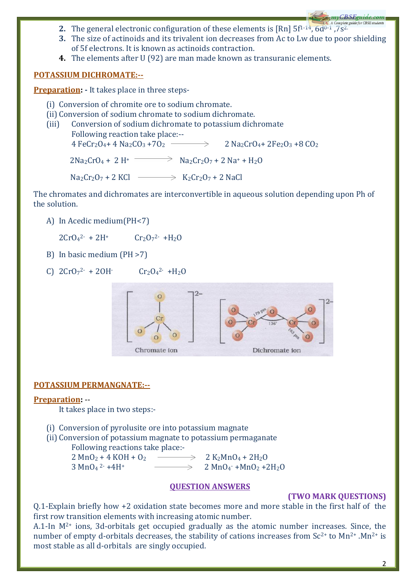- **2.** The general electronic configuration of these elements is [Rn]  $5f^{1-14}$ ,  $6d^{0-1}$ ,  $7s^{2}$ .
- **3.** The size of actinoids and its trivalent ion decreases from Ac to Lw due to poor shielding of 5f electrons. It is known as actinoids contraction.
- **4.** The elements after U (92) are man made known as transuranic elements.

#### **POTASSIUM DICHROMATE:**

**Preparation:** It takes place in three steps-

- (i) Conversion of chromite ore to sodium chromate.
- (ii) Conversion of sodium chromate to sodium dichromate.
- (iii) Following reaction take place:--Conversion of sodium dichromate to potassium dichromate  $4 \text{FeCr}_2\text{O}_4$ +  $4 \text{ Na}_2\text{CO}_3$  +  $7\text{O}_2$   $\longrightarrow$   $2 \text{ Na}_2\text{CrO}_4$  +  $2\text{Fe}_2\text{O}_3$  +  $8 \text{ CO}_2$

 $2Na_2CrO_4 + 2 H^+$   $\longrightarrow$   $Na_2Cr_2O_7 + 2 Na^+ + H_2O$ 

 $\text{Na}_2\text{Cr}_2\text{O}_7$  + 2 KCl  $\longrightarrow$  K<sub>2</sub>Cr<sub>2</sub>O<sub>7</sub> + 2 NaCl

The chromates and dichromates are interconvertible in aqueous solution depending upon Ph of the solution.

A) In Acedic medium(PH<7)

 $2CrO_4^2$  +  $2H^+$   $Cr_2O_7^2$  +  $H_2O$ 

- B) In basic medium (PH >7)
- C)  $2CrO<sub>7</sub><sup>2</sup>$  + 20H  $Cr_2O_4^2$  +  $H_2O$



#### **POTASSIUM PERMANGNATE:--**

#### **Preparation:** ‐‐

It takes place in two steps:‐

(i) Conversion of pyrolusite ore into potassium magnate

(ii) Conversion of potassium magnate to potassium permaganate

Following reactions take place:-

 $2 \text{ MnO}_2 + 4 \text{ KOH} + \text{O}_2$   $\longrightarrow$   $2 \text{ K}_2 \text{ MnO}_4 + 2 \text{H}_2 \text{O}$  $3 \text{ MnO}_4$ <sup>2</sup> +4H<sup>+</sup>  $2 MnO<sub>4</sub> + MnO<sub>2</sub> + 2H<sub>2</sub>O$ 

#### **QUESTION ANSWERS**

#### **(TWO MARK QUESTIONS)**

Q.1‐Explain briefly how +2 oxidation state becomes more and more stable in the first half of the first row transition elements with increasing atomic number.

A.1-In  $M^{2+}$  ions, 3d-orbitals get occupied gradually as the atomic number increases. Since, the number of empty d-orbitals decreases, the stability of cations increases from Sc<sup>2+</sup> to Mn<sup>2+</sup>.Mn<sup>2+</sup> is most stable as all d‐orbitals are singly occupied.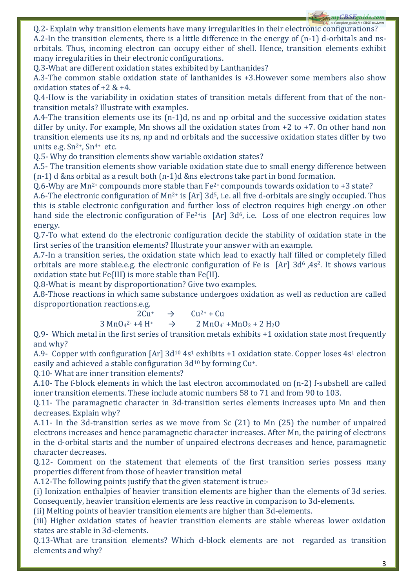Q.2‐ Explain why transition elements have many irregularities in their electronic configurations? A.2‐In the transition elements, there is a little difference in the energy of (n‐1) d‐orbitals and ns‐ orbitals. Thus, incoming electron can occupy either of shell. Hence, transition elements exhibit many irregularities in their electronic configurations.

Q.3‐What are different oxidation states exhibited by Lanthanides?

A.3-The common stable oxidation state of lanthanides is  $+3$ . However some members also show oxidation states of +2 & +4.

Q.4-How is the variability in oxidation states of transition metals different from that of the nontransition metals? Illustrate with examples.

A.4‐The transition elements use its (n‐1)d, ns and np orbital and the successive oxidation states differ by unity. For example, Mn shows all the oxidation states from  $+2$  to  $+7$ . On other hand non transition elements use its ns, np and nd orbitals and the successive oxidation states differ by two units e.g.  $Sn^{2+}$ ,  $Sn^{4+}$  etc.

Q.5‐ Why do transition elements show variable oxidation states?

A.5- The transition elements show variable oxidation state due to small energy difference between (n‐1) d &ns orbital as a result both (n‐1)d &ns electrons take part in bond formation.

 $Q.6$ -Why are Mn<sup>2+</sup> compounds more stable than  $Fe^{2+}$  compounds towards oxidation to +3 state?

A.6-The electronic configuration of  $Mn^{2+}$  is  $[Ar]$  3d<sup>5</sup>, i.e. all five d-orbitals are singly occupied. Thus this is stable electronic configuration and further loss of electron requires high energy .on other hand side the electronic configuration of  $Fe^{2+}$ is [Ar]  $3d^{6}$ , i.e. Loss of one electron requires low energy.

Q.7‐To what extend do the electronic configuration decide the stability of oxidation state in the first series of the transition elements? Illustrate your answer with an example.

A.7‐In a transition series, the oxidation state which lead to exactly half filled or completely filled orbitals are more stable.e.g. the electronic configuration of Fe is  $[Ar]$  3d<sup>6</sup>,4s<sup>2</sup>. It shows various oxidation state but Fe(III) is more stable than Fe(II).

Q.8‐What is meant by disproportionation? Give two examples.

A.8‐Those reactions in which same substance undergoes oxidation as well as reduction are called disproportionation reactions.e.g.

> $2Cu^+$   $\rightarrow$   $Cu^{2+}$  + Cu  $3 \text{ MnO}_4{}^{2-} + 4 \text{ H}^+$   $\rightarrow$  $2 \text{ MnO}_4$  + MnO<sub>2</sub> + 2 H<sub>2</sub>O

Q.9- Which metal in the first series of transition metals exhibits  $+1$  oxidation state most frequently and why?

A.9- Copper with configuration [Ar]  $3d^{10}$  4s<sup>1</sup> exhibits +1 oxidation state. Copper loses 4s<sup>1</sup> electron easily and achieved a stable configuration 3d<sup>10</sup> by forming Cu<sup>+</sup>.

Q.10‐ What are inner transition elements?

A.10‐ The f‐block elements in which the last electron accommodated on (n‐2) f‐subshell are called inner transition elements. These include atomic numbers 58 to 71 and from 90 to 103.

Q.11- The paramagnetic character in 3d-transition series elements increases upto Mn and then decreases. Explain why?

A.11- In the 3d-transition series as we move from Sc (21) to Mn (25) the number of unpaired electrons increases and hence paramagnetic character increases. After Mn, the pairing of electrons in the d-orbital starts and the number of unpaired electrons decreases and hence, paramagnetic character decreases.

Q.12- Comment on the statement that elements of the first transition series possess many properties different from those of heavier transition metal

A.12‐The following points justify that the given statement is true:‐

(i) Ionization enthalpies of heavier transition elements are higher than the elements of 3d series. Consequently, heavier transition elements are less reactive in comparison to 3d‐elements.

(ii) Melting points of heavier transition elements are higher than 3d-elements.

(iii) Higher oxidation states of heavier transition elements are stable whereas lower oxidation states are stable in 3d-elements.

Q.13-What are transition elements? Which d-block elements are not regarded as transition elements and why?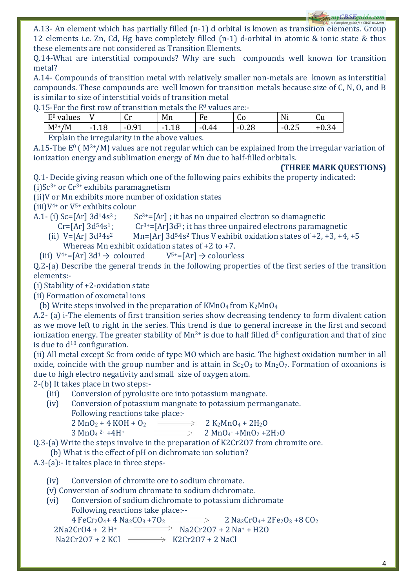A.13‐ An element which has partially filled (n‐1) d orbital is known as transition elements. Group 12 elements i.e. Zn, Cd, Hg have completely filled (n-1) d-orbital in atomic & ionic state & thus these elements are not considered as Transition Elements.

Q.14‐What are interstitial compounds? Why are such compounds well known for transition metal?

A.14‐ Compounds of transition metal with relatively smaller non‐metals are known as interstitial compounds. These compounds are well known for transition metals because size of C, N, O, and B is similar to size of interstitial voids of transition metal

Q.15-For the first row of transition metals the  $E<sup>0</sup>$  values are:-

| E <sub>0</sub><br>values | $ -$                                        | $\sqrt{2}$<br>ж.<br>u | Mn                           | $\blacksquare$<br>нΔ<br>╰ | $\overline{\phantom{0}}$<br>uυ | Ni<br>1 V 1                  | ⌒<br>Նս        |
|--------------------------|---------------------------------------------|-----------------------|------------------------------|---------------------------|--------------------------------|------------------------------|----------------|
| $M^{2+}$<br>'M           | $\sim$<br>$\overline{\phantom{0}}$<br>1.1 U | $\Omega$<br>−∪.ຯ⊥     | $\sqrt{2}$<br>∼<br>-<br>⊥.⊥∪ | 44<br>- 1<br>v.           | $\sim$<br>- 1<br>v.∠∪          | $\sim$ $\sim$<br>- 1<br>∪.∠J | $\sim$<br>0.34 |

Explain the irregularity in the above values.

A.15-The  $E^0$  ( $M^{2+}/M$ ) values are not regular which can be explained from the irregular variation of ionization energy and sublimation energy of Mn due to half-filled orbitals.

**(THREE MARK QUES TIONS)**

Q.1‐ Decide giving reason which one of the following pairs exhibits the property indicated:

(i)Sc<sup>3+</sup> or Cr<sup>3+</sup> exhibits paramagnetism

(ii)V or Mn exhibits more number of oxidation states

(iii) $V^{4+}$  or  $V^{5+}$  exhibits colour

A.1- (i)  $Sc=[Ar]$   $3d^{1}4s^{2}$ ;  $Sc^{3+}=[Ar]$ ; it has no unpaired electron so diamagnetic

paired electrons paramagnetic  $Cr=[Ar]$  3d<sup>5</sup>4s<sup>1</sup>;  $Cr^{3+}=[Ar]$ 3d<sup>3</sup>; it has three un

- xidation states of  $+2$ ,  $+3$ ,  $+4$ ,  $+5$ (ii)  $V=[Ar]$   $3d^34s^2$  Mn=[Ar]  $3d^54s^2$  Thus V exhibit o Whereas Mn exhibit oxidation states of +2 to +7.
	- (iii)  $V^{4+}=[Ar]$  3d<sup>1</sup>  $\rightarrow$  coloured  $V^{5+}=[Ar]$   $\rightarrow$  colourless

Q.2‐(a) Describe the general trends in the following properties of the first series of the transition elements:‐

(i) Stability of +2‐oxidation state

(ii) Formation of oxometal ions

(b) Write steps involved in the preparation of  $KMnO_4$  from  $K_2MnO_4$ 

A.2‐ (a) i‐The elements of first transition series show decreasing tendency to form divalent cation as we move left to right in the series. This trend is due to general increase in the first and second ionization energy. The greater stability of  $Mn^{2+}$  is due to half filled  $d^5$  configuration and that of zinc is due to  $d^{10}$  configuration.

(ii) All metal except Sc from oxide of type MO which are basic. The highest oxidation number in all oxide, coincide with the group number and is attain in  $Sc<sub>2</sub>O<sub>3</sub>$  to  $Mn<sub>2</sub>O<sub>7</sub>$ . Formation of oxoanions is due to high electro negativity and small size of oxygen atom.

2-(b) It takes place in two steps:-

- (iii) Conversion of pyrolusite ore into potassium mangnate.
- (iv) Conversion of potassium mangnate to potassium permanganate. Following reactions take place:-

 $2 \text{ MnO}_2 + 4 \text{ KOH} + \text{O}_2$  —  $2 K<sub>2</sub>MnO<sub>4</sub> + 2H<sub>2</sub>O$ 

 $3 \text{ MnO}_4$   $\longrightarrow$  $+MnO<sub>2</sub>+2H<sub>2</sub>O$ 

Q.3-(a) Write the steps involve in the preparation of K2Cr2O7 from chromite ore.

- (b) What is the effect of pH on dichromate ion solution?
- A.3- $(a)$ :- It takes place in three steps-
	- (iv) Conversion o f chromite ore to sodium chromate.
	- (v) Conversion of sodium chromate to sodium dichromate.
	- (vi) Following reactions take place:--Conversion of sodium dichromate to potassium dichromate

 $4 \text{ FeCr}_2\text{O}_4$ +  $4 \text{ Na}_2\text{CO}_3$  +7 $\text{O}_2$   $\longrightarrow$  2 Na  $2$  Na<sub>2</sub>CrO<sub>4</sub>+ 2Fe<sub>2</sub>O<sub>3</sub> +8 CO<sub>2</sub>

 $2Na2CrO4 + 2H<sup>+</sup>$  $Na2Cr2O7 + 2 Na^+ + H2O$ 

 $Na2Cr2O7 + 2 KCl$  –  $\Rightarrow$  K2Cr2O7 + 2 NaCl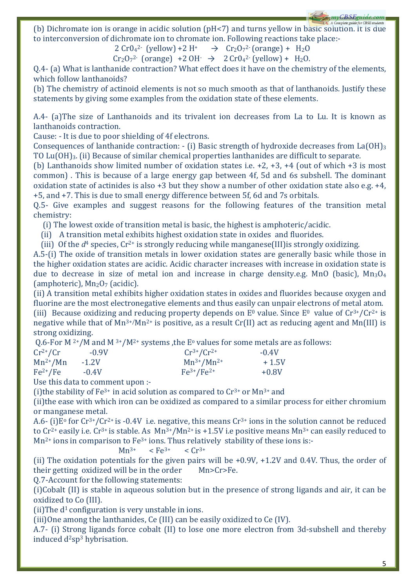(b) Dichromate ion is orange in acidic solution ( $pH < 7$ ) and turns yellow in basic solution. It is due to interconversion of dichromate ion to chromate ion. Following reactions take place:‐

2  $Cr0<sub>4</sub><sup>2</sup>$  (yellow) +2  $H^+$   $\rightarrow$   $Cr_2O<sub>7</sub><sup>2</sup>$  (orange) +  $H_2O$ 

 $Cr_2O_7^2$  (orange)  $+2OH^ \rightarrow$   $2CrO_4^2$  (yellow) + H<sub>2</sub>O.

Q.4‐ (a) What is lanthanide contraction? What effect does it have on the chemistry of the elements, which follow lanthanoids?

(b) The chemistry of actinoid elements is not so much smooth as that of lanthanoids. Justify these statements by giving some examples from the oxidation state of these elements.

A.4- (a)The size of Lanthanoids and its trivalent ion decreases from La to Lu. It is known as lanthanoids contraction.

Cause: ‐ It is due to poor shielding of 4f electrons.

Consequences of lanthanide contraction: ‐ (i) Basic strength of hydroxide decreases from La(OH)3 TO Lu(OH)<sub>3</sub>. (ii) Because of similar chemical properties lanthanides are difficult to separate.

(b) Lanthanoids show limited number of oxidation states i.e. +2, +3, +4 (out of which +3 is most common) . This is because of a large energy gap between 4f, 5d and 6s subshell. The dominant oxidation state of actinides is also  $+3$  but they show a number of other oxidation state also e.g.  $+4$ , +5, and +7. This is due to small energy difference between 5f, 6d and 7s orbitals.

Q.5‐ Give examples and suggest reasons for the following features of the transition metal chemistry:

(i) The lowest oxide of transition metal is basic, the highest is amphoteric/acidic.

(ii) A transition metal exhibits highest oxidation state in oxides and fluorides.

(iii) Of the  $d^4$  species,  $Cr^{2+}$  is strongly reducing while manganese (III) is strongly oxidizing.

A.5‐(i) The oxide of transition metals in lower oxidation states are generally basic while those in the higher oxidation states are acidic. Acidic character increases with increase in oxidation state is due to decrease in size of metal ion and increase in charge density.e.g. MnO (basic),  $Mn_3O_4$ (amphoteric),  $Mn<sub>2</sub>O<sub>7</sub>$  (acidic).

(ii) A transition metal exhibits higher oxidation states in oxides and fluorides because oxygen and fluorine are the most electronegative elements and thus easily can unpair electrons of metal atom. (iii) Because oxidizing and reducing property depends on  $E^0$  value. Since  $E^0$  value of  $Cr^{3+}/Cr^{2+}$  is negative while that of  $Mn^{3+/}Mn^{2+}$  is positive, as a result Cr(II) act as reducing agent and Mn(III) is strong oxidizing.

Q.6-For M <sup>2+</sup>/M and M <sup>3+</sup>/M<sup>2+</sup> systems , the E<sup>o</sup> values for some metals are as follows:

| $Cr^{2+}/Cr$ | $-0.9V$ | $Cr^{3+}/Cr^{2+}$ | $-0.4V$ |
|--------------|---------|-------------------|---------|
| $Mn^{2+}/Mn$ | $-1.2V$ | $Mn^{3+}/Mn^{2+}$ | $+1.5V$ |
| $Fe2+/Fe$    | $-0.4V$ | $Fe^{3+}/Fe^{2+}$ | $+0.8V$ |

Use this data to comment upon :‐

(i) the stability of  $Fe^{3+}$  in acid solution as compared to  $Cr^{3+}$  or  $Mn^{3+}$  and

(ii)the ease with which iron can be oxidized as compared to a similar process for either chromium or manganese metal.

A.6- (i)E<sup>o</sup> for Cr<sup>3+</sup>/Cr<sup>2+</sup> is -0.4V i.e. negative, this means Cr<sup>3+</sup> ions in the solution cannot be reduced to  $Cr^{2+}$  easily i.e.  $Cr^{3+}$  is stable. As  $Mn^{3+}/Mn^{2+}$  is +1.5V i.e positive means  $Mn^{3+}$  can easily reduced to Mn<sup>2+</sup> ions in comparison to Fe<sup>3+</sup> ions. Thus relatively stability of these ions is:-

$$
Mn^{3+} \qquad < Fe^{3+} \qquad < Cr^{3+}
$$

(ii) The oxidation potentials for the given pairs will be +0.9V, +1.2V and 0.4V. Thus, the order of their getting oxidized will be in the order Mn>Cr>Fe.

Q.7‐Account for the following statements:

 $(i)$ Cobalt  $(II)$  is stable in aque ous solution but in the presence of strong ligands and air, it can be oxidized to Co (III).

(ii)The  $d^1$  configuration is very unstable in ions.

(iii)One among the lanthanides, Ce (III) can be easily oxidized to Ce (IV).

A.7‐ (i) Strong ligands force cobalt (II) to lose one more electron from 3d‐subshell and thereby induced d<sup>2</sup>sp<sup>3</sup> hybrisation.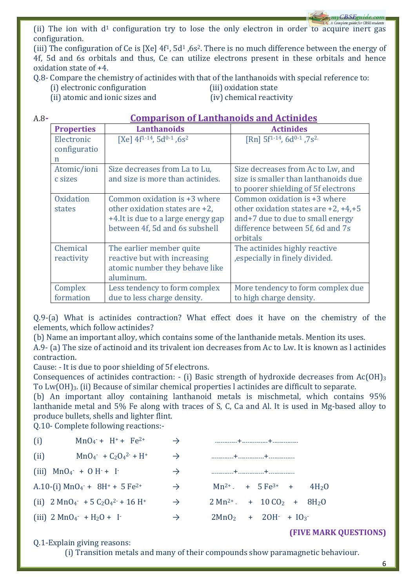(ii) The ion with  $d<sup>1</sup>$  configuration try to lose the only electron in order to acquire inert gas configuration.

(iii) The configuration of Ce is  $[Xe]$  4f<sup>1</sup>, 5d<sup>1</sup>, 6s<sup>2</sup>. There is no much difference between the energy of 4f, 5d and 6s orbitals and thus, Ce can utilize electrons present in these orbitals and hence oxidation state of +4.

Q.8- Compare the chemistry of actinides with that of the lanthanoids with special reference to:

- (i) electronic configuration (iii) oxidation state
	-
- (ii) atomic and ionic sizes and  $\qquad \qquad$  (iv) chemical reactivity

### A.8 **Comparison of Lanthanoids and A i ctin des**

| <b>Properties</b>          | <b>Lanthanoids</b>                                                                                                                      | <b>Actinides</b>                                                                                                                                                  |
|----------------------------|-----------------------------------------------------------------------------------------------------------------------------------------|-------------------------------------------------------------------------------------------------------------------------------------------------------------------|
| Electronic<br>configuratio | [Xe] $4f^{1-14}$ , 5d <sup>0-1</sup> , 6s <sup>2</sup>                                                                                  | [Rn] $5f^{1-14}$ , 6d <sup>0-1</sup> , 7s <sup>2.</sup>                                                                                                           |
| $\mathbf n$                |                                                                                                                                         |                                                                                                                                                                   |
| Atomic/ioni<br>c sizes     | Size decreases from La to Lu,<br>and size is more than actinides.                                                                       | Size decreases from Ac to Lw, and<br>size is smaller than lanthanoids due<br>to poorer shielding of 5f electrons                                                  |
| Oxidation<br>states        | Common oxidation is +3 where<br>other oxidation states are +2,<br>+4. It is due to a large energy gap<br>between 4f, 5d and 6s subshell | Common oxidation is +3 where<br>other oxidation states are $+2$ , $+4$ , $+5$<br>and+7 due to due to small energy<br>difference between 5f, 6d and 7s<br>orbitals |
| Chemical<br>reactivity     | The earlier member quite<br>reactive but with increasing<br>atomic number they behave like<br>aluminum.                                 | The actinides highly reactive<br>, especially in finely divided.                                                                                                  |
| Complex<br>formation       | Less tendency to form complex<br>due to less charge density.                                                                            | More tendency to form complex due<br>to high charge density.                                                                                                      |

Q.9‐(a) What is actinides contraction? What effect does it have on the chemistry of the elements, which follow actinides?

(b) Name an important alloy, which contains some of the lanthanide metals. Mention its uses.

A.9‐ (a) The size of actinoid and its trivalent ion decreases from Ac to Lw. It is known as l actinides contraction.

Cause: ‐ It is due to poor shielding of 5f electrons.

Consequences of actinides contraction:  $-$  (i) Basic strength of hydroxide decreases from Ac(OH)<sub>3</sub> To Lw(OH)3. (ii) Because of similar chemical properties l actinides are difficult to separate.

(b) An important alloy containing lanthanoid metals is mischmetal, which contains 95% lanthanide metal and 5% Fe along with traces of S, C, Ca and Al. It is used in Mg-based alloy to produce bullets, shells and lighter flint.

Q.10 - Complete following reactions:-

|                                               | $\rightarrow$                                                                                                                                                                                                                                          |                                                                    |
|-----------------------------------------------|--------------------------------------------------------------------------------------------------------------------------------------------------------------------------------------------------------------------------------------------------------|--------------------------------------------------------------------|
| $MnO4$ + $C2O4$ <sup>2</sup> + H <sup>+</sup> | $\rightarrow$                                                                                                                                                                                                                                          |                                                                    |
|                                               | $\rightarrow$                                                                                                                                                                                                                                          | ___________+___________+____________                               |
|                                               | $\rightarrow$                                                                                                                                                                                                                                          | $Mn^{2+}$ + 5 Fe <sup>3+</sup> +<br>4H <sub>2</sub> O              |
|                                               | $\rightarrow$                                                                                                                                                                                                                                          | $2 \text{ Mn}^{2+}$ . + $10 \text{ CO}_2$ + $8 \text{H}_2\text{O}$ |
|                                               | $\rightarrow$                                                                                                                                                                                                                                          | $2MnO2$ + $2OH-$ + $IO3$                                           |
|                                               | $MnO4- + H+ + Fe2+$<br>(iii) $MnO_4$ + $O H$ + $I$<br>A.10-(i) $MnO_4$ + 8H + + 5 Fe <sup>2+</sup><br>(ii) $2 \text{ MnO}_4$ + 5 $C_2O_4$ <sup>2</sup> + 16 H <sup>+</sup><br>(iii) $2 \text{ MnO}_4$ <sup>-</sup> + H <sub>2</sub> O + I <sup>-</sup> |                                                                    |

#### Q.1‐Explain giving reasons:

(i) Transition metals and many of their compounds show paramagnetic behaviour.

**(FIVE MARK QUEST IONS)**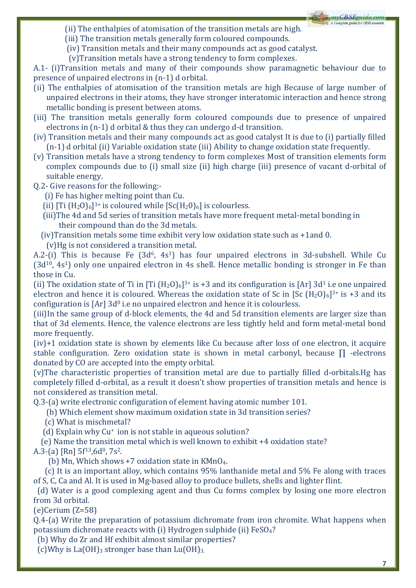

- (ii) The enthalpies of atomisation of the transition metals are high.
- (iii) The transition metals generally form coloured compounds.
- (iv) Transition metals and their many compounds act as good catalyst.
- (v)Transition metals have a strong tendency to form complexes.

A.1‐ (i)Transition metals and many of their compounds show paramagnetic behaviour due to presence of unpaired electrons in (n‐1) d orbital.

- (ii) The enthalpies of atomisation of the transition metals are high Because of large number of unpaired electrons in their atoms, they have stronger interatomic interaction and hence strong metallic bonding is present between atoms.
- (iii) The transition metals generally form coloured compounds due to presence of unpaired electrons in (n‐1) d orbital & thus they can undergo d‐d transition.
- (iv) Transition metals and their many compounds act as good catalyst It is due to (i) partially filled (n‐1) d orbital (ii) Variable oxidation state (iii) Ability to change oxidation state frequently.
- (v) Transition metals have a strong tendency to form complexes Most of transition elements form complex compounds due to (i) small size (ii) high charge (iii) presence of vacant d‐orbital of suitable energy.
- Q.2‐ Give reasons for the following:‐
	- (i) Fe has higher melting point than Cu.
- (ii) [Ti  $(H_2O)_6]^{3+}$  is coloured while  $[Sc(H_2O)_6]$  is colourless.
- (iii)The 4d and 5d series of transition metals have more frequent metal-metal bonding in their compound than do the 3d metals.
	- (iv)Transition metals some time exhibit very low oxidation state such as  $+1$ and 0.
	- (v)Hg is not considered a transition metal.

A.2‐(i) This is because Fe (3d6, 4s1) has four unpaired electrons in 3d‐subshell. While Cu  $(3d^{10}, 4s^1)$  only one unpaired electron in 4s shell. Hence metallic bonding is stronger in Fe than those in Cu.

(ii) The oxidation state of Ti in  $[Ti (H<sub>2</sub>O)<sub>6</sub>]^{3+}$  is +3 and its configuration is  $[Ar]$  3d<sup>1</sup> i.e one unpaired electron and hence it is coloured. Whereas the oxidation state of Sc in  $[Sc (H<sub>2</sub>O)<sub>6</sub>]^{3+}$  is +3 and its configuration is  $[Ar]$  3d<sup> $0$ </sup> i.e no unpaired electron and hence it is colourless.

(iii)In the same group of d‐block elements, the 4d and 5d transition elements are larger size than that of 3d elements. Hence, the valence electrons are less tightly held and form metal‐metal bond more frequently.

(iv)+1 oxidation state is shown by elements like Cu because after loss of one electron, it acquire stable configuration. Zero oxidation state is shown in metal carbonyl, because  $\Pi$  -electrons donated by CO are accepted into the empty orbital.

(v)The characteristic properties of transition metal are due to partially filled d‐orbitals.Hg has completely filled d‐orbital, as a result it doesn't show properties of transition metals and hence is not considered as transition metal.

Q.3-(a) write electronic configuration of element having atomic number 101.

(b) Which element show maximum oxidation state in 3d transition series?

(c) What is mischmetal?

(d) Explain why  $Cu<sup>+</sup>$  ion is not stable in aqueous solution?

(e) Name the transition metal which is well known to exhibit +4 oxidation state?

A.3-(a) [Rn]  $5f^{13}$ ,6d<sup>0</sup>, 7s<sup>2</sup>.

(b) Mn, Which shows  $+7$  oxidation state in KMnO<sub>4</sub>.

 (c) It is an important alloy, which contains 95% lanthanide metal and 5% Fe along with traces of S, C, Ca and Al. It is used in Mg‐based alloy to produce bullets, shells and lighter flint.

 (d) Water is a good complexing agent and thus Cu forms complex by losing one more electron from 3d orbital.

(e)Cerium (Z=58)

Q.4‐(a) Write the preparation of potassium dichromate fr om iron chromite. What happens when potassium dichromate reacts with (i) Hydrogen sulphide (ii) FeSO<sub>4</sub>?

(b) Why do Zr and Hf exhibit almost similar properties?

(c)Why is  $La(OH)_3$  stronger base than  $Lu(OH)_3$ .